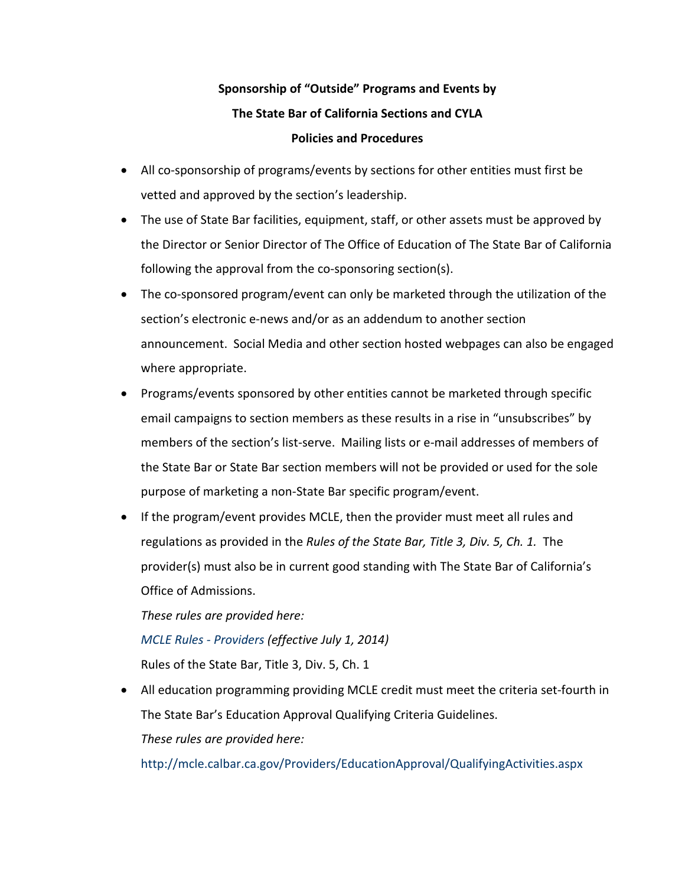## **Sponsorship of "Outside" Programs and Events by The State Bar of California Sections and CYLA Policies and Procedures**

- All co-sponsorship of programs/events by sections for other entities must first be vetted and approved by the section's leadership.
- The use of State Bar facilities, equipment, staff, or other assets must be approved by the Director or Senior Director of The Office of Education of The State Bar of California following the approval from the co-sponsoring section(s).
- The co-sponsored program/event can only be marketed through the utilization of the section's electronic e-news and/or as an addendum to another section announcement. Social Media and other section hosted webpages can also be engaged where appropriate.
- Programs/events sponsored by other entities cannot be marketed through specific email campaigns to section members as these results in a rise in "unsubscribes" by members of the section's list-serve. Mailing lists or e-mail addresses of members of the State Bar or State Bar section members will not be provided or used for the sole purpose of marketing a non-State Bar specific program/event.
- If the program/event provides MCLE, then the provider must meet all rules and regulations as provided in the *Rules of the State Bar, Title 3, Div. 5, Ch. 1.* The provider(s) must also be in current good standing with The State Bar of California's Office of Admissions.

*These rules are provided here: [MCLE Rules -](http://rules.calbar.ca.gov/Portals/10/documents/Rules_Title3_Div5-Ch1-CLE-Providers.pdf) Providers (effective July 1, 2014)* Rules of the State Bar, Title 3, Div. 5, Ch. 1

• All education programming providing MCLE credit must meet the criteria set-fourth in The State Bar's Education Approval Qualifying Criteria Guidelines. *These rules are provided here:* 

<http://mcle.calbar.ca.gov/Providers/EducationApproval/QualifyingActivities.aspx>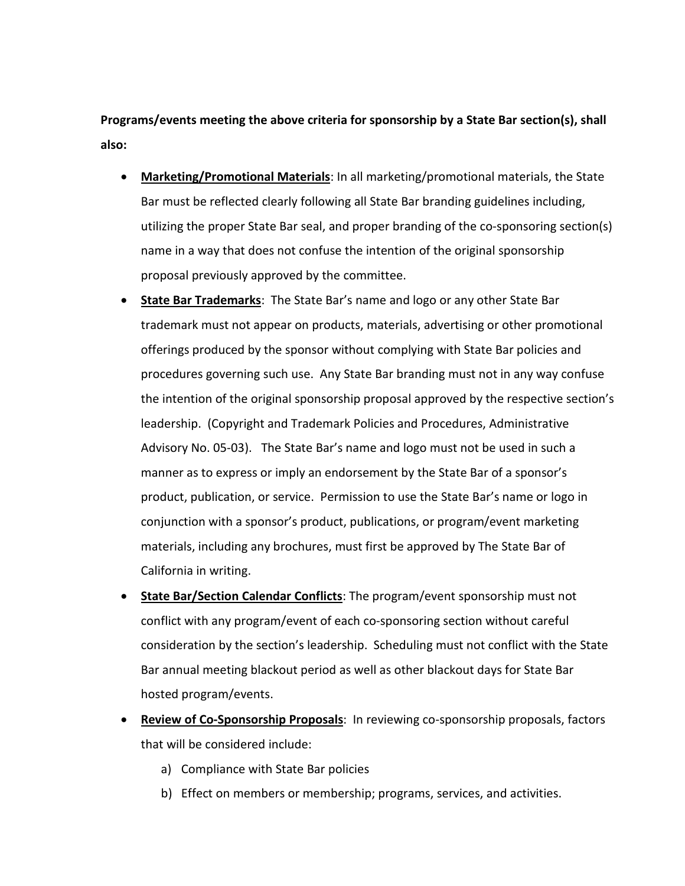**Programs/events meeting the above criteria for sponsorship by a State Bar section(s), shall also:** 

- **Marketing/Promotional Materials**: In all marketing/promotional materials, the State Bar must be reflected clearly following all State Bar branding guidelines including, utilizing the proper State Bar seal, and proper branding of the co-sponsoring section(s) name in a way that does not confuse the intention of the original sponsorship proposal previously approved by the committee.
- **State Bar Trademarks**: The State Bar's name and logo or any other State Bar trademark must not appear on products, materials, advertising or other promotional offerings produced by the sponsor without complying with State Bar policies and procedures governing such use. Any State Bar branding must not in any way confuse the intention of the original sponsorship proposal approved by the respective section's leadership. (Copyright and Trademark Policies and Procedures, Administrative Advisory No. 05-03). The State Bar's name and logo must not be used in such a manner as to express or imply an endorsement by the State Bar of a sponsor's product, publication, or service. Permission to use the State Bar's name or logo in conjunction with a sponsor's product, publications, or program/event marketing materials, including any brochures, must first be approved by The State Bar of California in writing.
- **State Bar/Section Calendar Conflicts**: The program/event sponsorship must not conflict with any program/event of each co-sponsoring section without careful consideration by the section's leadership. Scheduling must not conflict with the State Bar annual meeting blackout period as well as other blackout days for State Bar hosted program/events.
- **Review of Co-Sponsorship Proposals**: In reviewing co-sponsorship proposals, factors that will be considered include:
	- a) Compliance with State Bar policies
	- b) Effect on members or membership; programs, services, and activities.